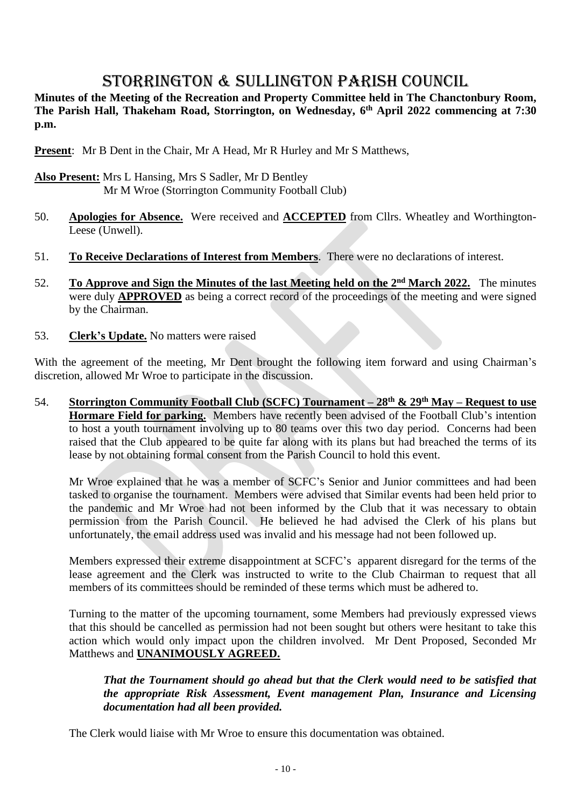## STORRINGTON & SULLINGTON PARISH COUNCIL

**Minutes of the Meeting of the Recreation and Property Committee held in The Chanctonbury Room, The Parish Hall, Thakeham Road, Storrington, on Wednesday, 6 th April 2022 commencing at 7:30 p.m.**

**Present**: Mr B Dent in the Chair, Mr A Head, Mr R Hurley and Mr S Matthews,

## **Also Present:** Mrs L Hansing, Mrs S Sadler, Mr D Bentley Mr M Wroe (Storrington Community Football Club)

- 50. **Apologies for Absence.** Were received and **ACCEPTED** from Cllrs. Wheatley and Worthington-Leese (Unwell).
- 51. **To Receive Declarations of Interest from Members**. There were no declarations of interest.
- 52. **To Approve and Sign the Minutes of the last Meeting held on the 2<sup>nd</sup> March 2022. The minutes** were duly **APPROVED** as being a correct record of the proceedings of the meeting and were signed by the Chairman.
- 53. **Clerk's Update.** No matters were raised

With the agreement of the meeting, Mr Dent brought the following item forward and using Chairman's discretion, allowed Mr Wroe to participate in the discussion.

54. **Storrington Community Football Club (SCFC) Tournament – 28th & 29th May – Request to use Hormare Field for parking.** Members have recently been advised of the Football Club's intention to host a youth tournament involving up to 80 teams over this two day period. Concerns had been raised that the Club appeared to be quite far along with its plans but had breached the terms of its lease by not obtaining formal consent from the Parish Council to hold this event.

Mr Wroe explained that he was a member of SCFC's Senior and Junior committees and had been tasked to organise the tournament. Members were advised that Similar events had been held prior to the pandemic and Mr Wroe had not been informed by the Club that it was necessary to obtain permission from the Parish Council. He believed he had advised the Clerk of his plans but unfortunately, the email address used was invalid and his message had not been followed up.

Members expressed their extreme disappointment at SCFC's apparent disregard for the terms of the lease agreement and the Clerk was instructed to write to the Club Chairman to request that all members of its committees should be reminded of these terms which must be adhered to.

Turning to the matter of the upcoming tournament, some Members had previously expressed views that this should be cancelled as permission had not been sought but others were hesitant to take this action which would only impact upon the children involved. Mr Dent Proposed, Seconded Mr Matthews and **UNANIMOUSLY AGREED.**

*That the Tournament should go ahead but that the Clerk would need to be satisfied that the appropriate Risk Assessment, Event management Plan, Insurance and Licensing documentation had all been provided.* 

The Clerk would liaise with Mr Wroe to ensure this documentation was obtained.